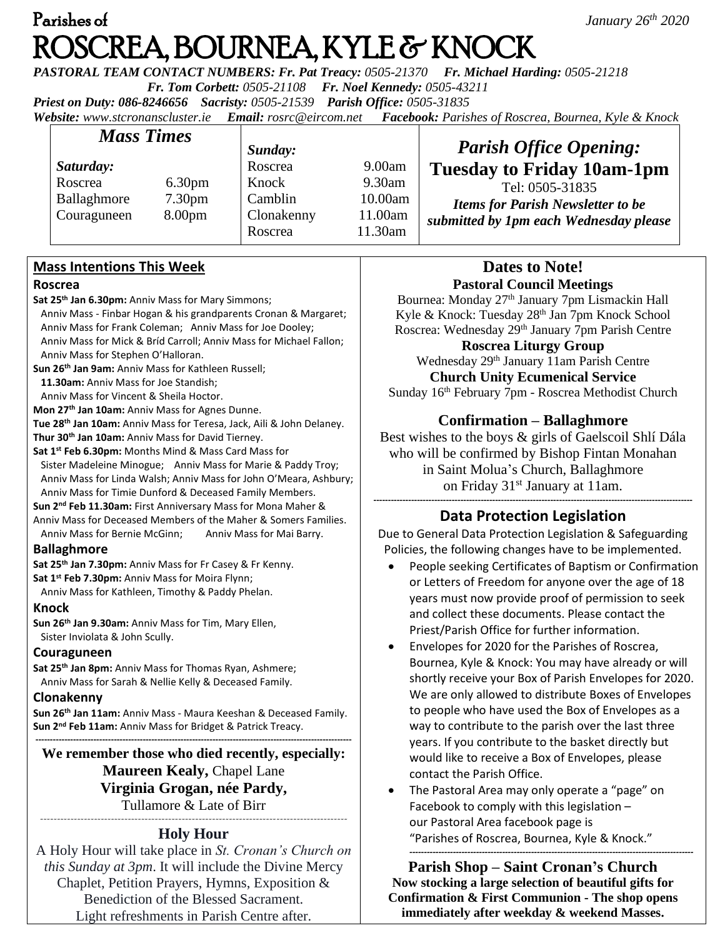# Parishes of *January 26th 2020*  ROSCREA, BOURNEA, KYLE & KNOCK

*PASTORAL TEAM CONTACT NUMBERS: Fr. Pat Treacy: 0505-21370 Fr. Michael Harding: 0505-21218* 

 *Fr. Tom Corbett: 0505-21108 Fr. Noel Kennedy: 0505-43211*

*Priest on Duty: 086-8246656 Sacristy: 0505-21539 Parish Office: 0505-31835* 

*Website: [www.stcronanscluster.ie](http://www.stcronanscluster.ie/) Email: [rosrc@eircom.net](mailto:rosrc@eircom.net) Facebook: Parishes of Roscrea, Bournea, Kyle & Knock* 

| <b>Mass Times</b> |                    | Sunday:    |         | <b>Parish Office Opening:</b>            |
|-------------------|--------------------|------------|---------|------------------------------------------|
| Saturday:         |                    | Roscrea    | 9.00am  | <b>Tuesday to Friday 10am-1pm</b>        |
| Roscrea           | 6.30 <sub>pm</sub> | Knock      | 9.30am  | Tel: 0505-31835                          |
| Ballaghmore       | 7.30 <sub>pm</sub> | Camblin    | 10.00am | <b>Items for Parish Newsletter to be</b> |
| Couraguneen       | 8.00 <sub>pm</sub> | Clonakenny | 11.00am | submitted by 1pm each Wednesday please   |
|                   |                    | Roscrea    | 11.30am |                                          |

### **Mass Intentions This Week**

#### **Roscrea**

**Sat 25th Jan 6.30pm:** Anniv Mass for Mary Simmons;

- Anniv Mass Finbar Hogan & his grandparents Cronan & Margaret; Anniv Mass for Frank Coleman; Anniv Mass for Joe Dooley; Anniv Mass for Mick & Bríd Carroll; Anniv Mass for Michael Fallon; Anniv Mass for Stephen O'Halloran.
- **Sun 26th Jan 9am:** Anniv Mass for Kathleen Russell;
- **11.30am:** Anniv Mass for Joe Standish;

Anniv Mass for Vincent & Sheila Hoctor.

**Mon 27th Jan 10am:** Anniv Mass for Agnes Dunne. **Tue 28th Jan 10am:** Anniv Mass for Teresa, Jack, Aili & John Delaney.

**Thur 30th Jan 10am:** Anniv Mass for David Tierney.

**Sat 1st Feb 6.30pm:** Months Mind & Mass Card Mass for Sister Madeleine Minogue; Anniv Mass for Marie & Paddy Troy; Anniv Mass for Linda Walsh; Anniv Mass for John O'Meara, Ashbury; Anniv Mass for Timie Dunford & Deceased Family Members.

**Sun 2nd Feb 11.30am:** First Anniversary Mass for Mona Maher & Anniv Mass for Deceased Members of the Maher & Somers Families.

Anniv Mass for Bernie McGinn; Anniv Mass for Mai Barry.

### **Ballaghmore**

**Sat 25th Jan 7.30pm:** Anniv Mass for Fr Casey & Fr Kenny. **Sat 1st Feb 7.30pm:** Anniv Mass for Moira Flynn;

Anniv Mass for Kathleen, Timothy & Paddy Phelan.

#### **Knock**

**Sun 26th Jan 9.30am:** Anniv Mass for Tim, Mary Ellen, Sister Inviolata & John Scully.

### **Couraguneen**

**Sat 25th Jan 8pm:** Anniv Mass for Thomas Ryan, Ashmere; Anniv Mass for Sarah & Nellie Kelly & Deceased Family.

### **Clonakenny**

**Sun 26th Jan 11am:** Anniv Mass - Maura Keeshan & Deceased Family. **Sun 2nd Feb 11am:** Anniv Mass for Bridget & Patrick Treacy.

**------------------------------------------------------------------------------------------------------------- We remember those who died recently, especially: Maureen Kealy,** Chapel Lane **Virginia Grogan, née Pardy,**  Tullamore & Late of Birr -------------------------------------------------------------------------------------------

### **Holy Hour**

A Holy Hour will take place in *St. Cronan's Church on this Sunday at 3pm*. It will include the Divine Mercy Chaplet, Petition Prayers, Hymns, Exposition & Benediction of the Blessed Sacrament. Light refreshments in Parish Centre after.

### **Dates to Note! Pastoral Council Meetings**

Bournea: Monday 27<sup>th</sup> January 7pm Lismackin Hall Kyle & Knock: Tuesday 28<sup>th</sup> Jan 7pm Knock School Roscrea: Wednesday 29th January 7pm Parish Centre

**Roscrea Liturgy Group** Wednesday 29<sup>th</sup> January 11am Parish Centre **Church Unity Ecumenical Service** Sunday 16th February 7pm - Roscrea Methodist Church

## **Confirmation – Ballaghmore**

Best wishes to the boys & girls of Gaelscoil Shlí Dála who will be confirmed by Bishop Fintan Monahan in Saint Molua's Church, Ballaghmore on Friday 31st January at 11am. **--------------------------------------------------------------------------------------------------------------**

# **Data Protection Legislation**

Due to General Data Protection Legislation & Safeguarding Policies, the following changes have to be implemented.

- People seeking Certificates of Baptism or Confirmation or Letters of Freedom for anyone over the age of 18 years must now provide proof of permission to seek and collect these documents. Please contact the Priest/Parish Office for further information.
- Envelopes for 2020 for the Parishes of Roscrea, Bournea, Kyle & Knock: You may have already or will shortly receive your Box of Parish Envelopes for 2020. We are only allowed to distribute Boxes of Envelopes to people who have used the Box of Envelopes as a way to contribute to the parish over the last three years. If you contribute to the basket directly but would like to receive a Box of Envelopes, please contact the Parish Office.
- The Pastoral Area may only operate a "page" on Facebook to comply with this legislation – our Pastoral Area facebook page is "Parishes of Roscrea, Bournea, Kyle & Knock." *--------------------------------------------------------------------------------------------------*

**Parish Shop – Saint Cronan's Church Now stocking a large selection of beautiful gifts for Confirmation & First Communion - The shop opens immediately after weekday & weekend Masses.**